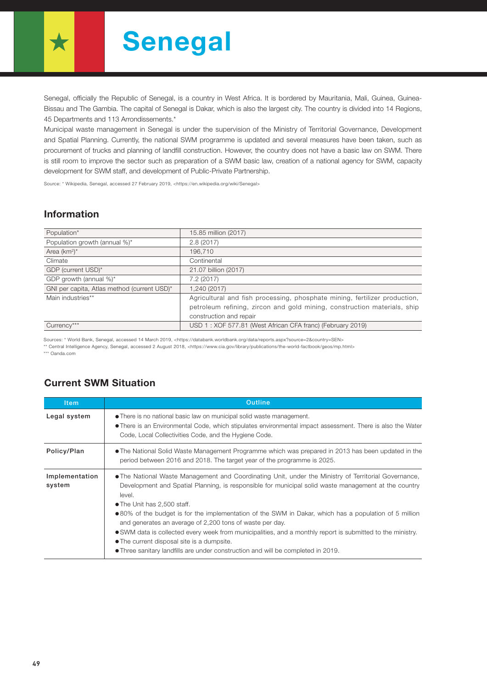# Senegal

Senegal, officially the Republic of Senegal, is a country in West Africa. It is bordered by Mauritania, Mali, Guinea, Guinea-Bissau and The Gambia. The capital of Senegal is Dakar, which is also the largest city. The country is divided into 14 Regions, 45 Departments and 113 Arrondissements.\*

Municipal waste management in Senegal is under the supervision of the Ministry of Territorial Governance, Development and Spatial Planning. Currently, the national SWM programme is updated and several measures have been taken, such as procurement of trucks and planning of landfill construction. However, the country does not have a basic law on SWM. There is still room to improve the sector such as preparation of a SWM basic law, creation of a national agency for SWM, capacity development for SWM staff, and development of Public-Private Partnership.

Source: \* Wikipedia, Senegal, accessed 27 February 2019, <https://en.wikipedia.org/wiki/Senegal>

### Information

| Population*                                 | 15.85 million (2017)                                                       |
|---------------------------------------------|----------------------------------------------------------------------------|
| Population growth (annual %)*               | 2.8(2017)                                                                  |
| Area $(km^2)^*$                             | 196.710                                                                    |
| Climate                                     | Continental                                                                |
| GDP (current USD)*                          | 21.07 billion (2017)                                                       |
| GDP growth (annual %)*                      | 7.2(2017)                                                                  |
| GNI per capita, Atlas method (current USD)* | 1,240 (2017)                                                               |
| Main industries**                           | Agricultural and fish processing, phosphate mining, fertilizer production, |
|                                             | petroleum refining, zircon and gold mining, construction materials, ship   |
|                                             | construction and repair                                                    |
| Currency***                                 | USD 1: XOF 577.81 (West African CFA franc) (February 2019)                 |

Sources: \* World Bank, Senegal, accessed 14 March 2019, <https://databank.worldbank.org/data/reports.aspx?source=2&country=SEN>

\*\* Central Intelligence Agency, Senegal, accessed 2 August 2018, <https://www.cia.gov/library/publications/the-world-factbook/geos/mp.html>

\*\*\* Oanda.com

#### Current SWM Situation

| Outline                                                                                                                                                                                                                                                                                                                                                                                                                                                                                                                                                                                                                                                                    |  |  |  |
|----------------------------------------------------------------------------------------------------------------------------------------------------------------------------------------------------------------------------------------------------------------------------------------------------------------------------------------------------------------------------------------------------------------------------------------------------------------------------------------------------------------------------------------------------------------------------------------------------------------------------------------------------------------------------|--|--|--|
| • There is no national basic law on municipal solid waste management.<br>• There is an Environmental Code, which stipulates environmental impact assessment. There is also the Water<br>Code, Local Collectivities Code, and the Hygiene Code.                                                                                                                                                                                                                                                                                                                                                                                                                             |  |  |  |
| • The National Solid Waste Management Programme which was prepared in 2013 has been updated in the<br>period between 2016 and 2018. The target year of the programme is 2025.                                                                                                                                                                                                                                                                                                                                                                                                                                                                                              |  |  |  |
| • The National Waste Management and Coordinating Unit, under the Ministry of Territorial Governance,<br>Development and Spatial Planning, is responsible for municipal solid waste management at the country<br>level.<br>• The Unit has 2,500 staff.<br>●80% of the budget is for the implementation of the SWM in Dakar, which has a population of 5 million<br>and generates an average of 2,200 tons of waste per day.<br>• SWM data is collected every week from municipalities, and a monthly report is submitted to the ministry.<br>• The current disposal site is a dumpsite.<br>• Three sanitary landfills are under construction and will be completed in 2019. |  |  |  |
|                                                                                                                                                                                                                                                                                                                                                                                                                                                                                                                                                                                                                                                                            |  |  |  |